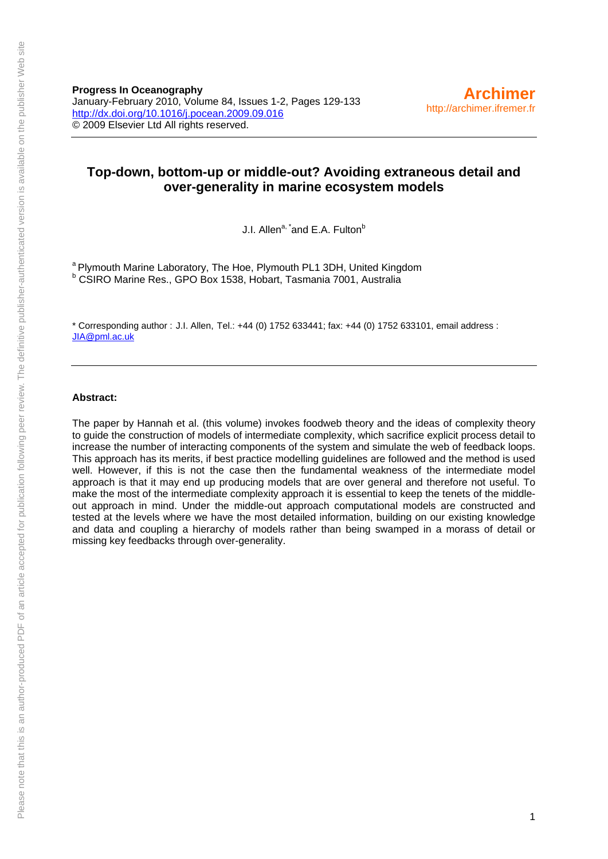**Progress In Oceanography**  January-February 2010, Volume 84, Issues 1-2, Pages 129-133 <http://dx.doi.org/10.1016/j.pocean.2009.09.016> © 2009 Elsevier Ltd All rights reserved.

### **Top-down, bottom-up or middle-out? Avoiding extraneous detail and over-generality in marine ecosystem models**

J.I. Allen<sup>a,  $\vec{a}$ </sup> and E.A. Fulton<sup>b</sup>

<sup>a</sup> Plymouth Marine Laboratory, The Hoe, Plymouth PL1 3DH, United Kingdom <sup>b</sup> CSIRO Marine Res., GPO Box 1538, Hobart, Tasmania 7001, Australia

\* Corresponding author : J.I. Allen, Tel.: +44 (0) 1752 633441; fax: +44 (0) 1752 633101, email address : [JIA@pml.ac.uk](mailto:JIA@pml.ac.uk)

#### **Abstract:**

The paper by Hannah et al. (this volume) invokes foodweb theory and the ideas of complexity theory to guide the construction of models of intermediate complexity, which sacrifice explicit process detail to increase the number of interacting components of the system and simulate the web of feedback loops. This approach has its merits, if best practice modelling guidelines are followed and the method is used well. However, if this is not the case then the fundamental weakness of the intermediate model approach is that it may end up producing models that are over general and therefore not useful. To make the most of the intermediate complexity approach it is essential to keep the tenets of the middleout approach in mind. Under the middle-out approach computational models are constructed and tested at the levels where we have the most detailed information, building on our existing knowledge and data and coupling a hierarchy of models rather than being swamped in a morass of detail or missing key feedbacks through over-generality.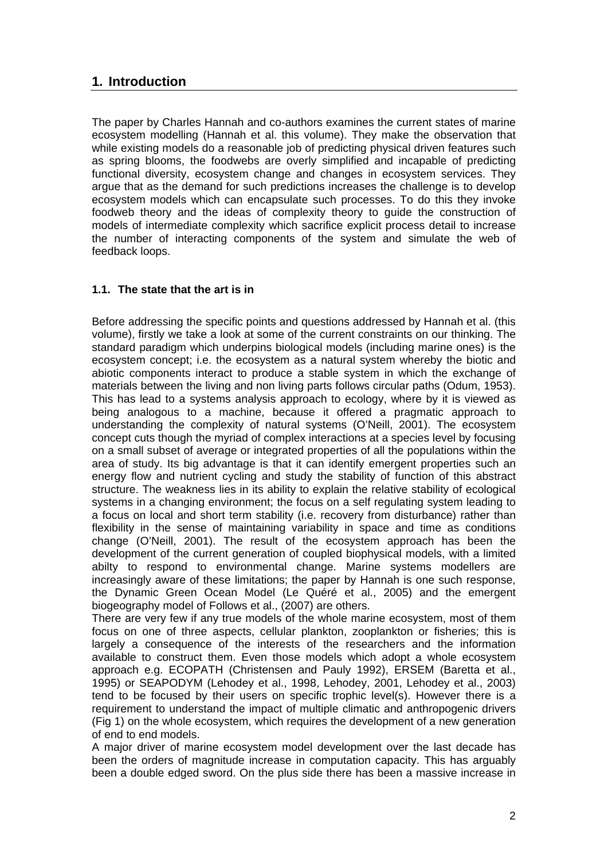# **1. Introduction**

The paper by Charles Hannah and co-authors examines the current states of marine ecosystem modelling (Hannah et al. this volume). They make the observation that while existing models do a reasonable job of predicting physical driven features such as spring blooms, the foodwebs are overly simplified and incapable of predicting functional diversity, ecosystem change and changes in ecosystem services. They argue that as the demand for such predictions increases the challenge is to develop ecosystem models which can encapsulate such processes. To do this they invoke foodweb theory and the ideas of complexity theory to guide the construction of models of intermediate complexity which sacrifice explicit process detail to increase the number of interacting components of the system and simulate the web of feedback loops.

### **1.1. The state that the art is in**

Before addressing the specific points and questions addressed by Hannah et al. (this volume), firstly we take a look at some of the current constraints on our thinking. The standard paradigm which underpins biological models (including marine ones) is the ecosystem concept; i.e. the ecosystem as a natural system whereby the biotic and abiotic components interact to produce a stable system in which the exchange of materials between the living and non living parts follows circular paths (Odum, 1953). This has lead to a systems analysis approach to ecology, where by it is viewed as being analogous to a machine, because it offered a pragmatic approach to understanding the complexity of natural systems (O'Neill, 2001). The ecosystem concept cuts though the myriad of complex interactions at a species level by focusing on a small subset of average or integrated properties of all the populations within the area of study. Its big advantage is that it can identify emergent properties such an energy flow and nutrient cycling and study the stability of function of this abstract structure. The weakness lies in its ability to explain the relative stability of ecological systems in a changing environment; the focus on a self regulating system leading to a focus on local and short term stability (i.e. recovery from disturbance) rather than flexibility in the sense of maintaining variability in space and time as conditions change (O'Neill, 2001). The result of the ecosystem approach has been the development of the current generation of coupled biophysical models, with a limited abilty to respond to environmental change. Marine systems modellers are increasingly aware of these limitations; the paper by Hannah is one such response, the Dynamic Green Ocean Model (Le Quéré et al., 2005) and the emergent biogeography model of Follows et al., (2007) are others.

There are very few if any true models of the whole marine ecosystem, most of them focus on one of three aspects, cellular plankton, zooplankton or fisheries; this is largely a consequence of the interests of the researchers and the information available to construct them. Even those models which adopt a whole ecosystem approach e.g. ECOPATH (Christensen and Pauly 1992), ERSEM (Baretta et al., 1995) or SEAPODYM (Lehodey et al., 1998, Lehodey, 2001, Lehodey et al., 2003) tend to be focused by their users on specific trophic level(s). However there is a requirement to understand the impact of multiple climatic and anthropogenic drivers (Fig 1) on the whole ecosystem, which requires the development of a new generation of end to end models.

A major driver of marine ecosystem model development over the last decade has been the orders of magnitude increase in computation capacity. This has arguably been a double edged sword. On the plus side there has been a massive increase in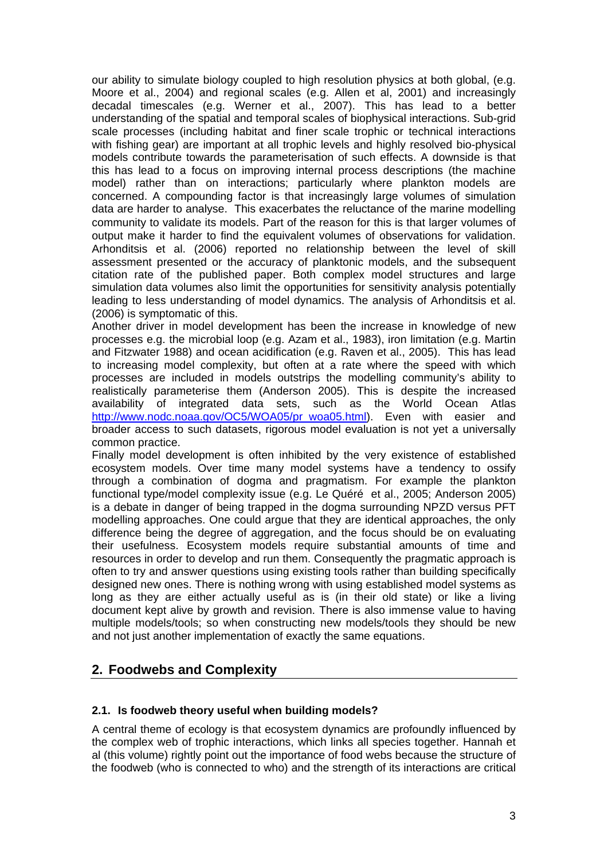our ability to simulate biology coupled to high resolution physics at both global, (e.g. Moore et al., 2004) and regional scales (e.g. Allen et al, 2001) and increasingly decadal timescales (e.g. Werner et al., 2007). This has lead to a better understanding of the spatial and temporal scales of biophysical interactions. Sub-grid scale processes (including habitat and finer scale trophic or technical interactions with fishing gear) are important at all trophic levels and highly resolved bio-physical models contribute towards the parameterisation of such effects. A downside is that this has lead to a focus on improving internal process descriptions (the machine model) rather than on interactions; particularly where plankton models are concerned. A compounding factor is that increasingly large volumes of simulation data are harder to analyse. This exacerbates the reluctance of the marine modelling community to validate its models. Part of the reason for this is that larger volumes of output make it harder to find the equivalent volumes of observations for validation. Arhonditsis et al. (2006) reported no relationship between the level of skill assessment presented or the accuracy of planktonic models, and the subsequent citation rate of the published paper. Both complex model structures and large simulation data volumes also limit the opportunities for sensitivity analysis potentially leading to less understanding of model dynamics. The analysis of Arhonditsis et al. (2006) is symptomatic of this.

Another driver in model development has been the increase in knowledge of new processes e.g. the microbial loop (e.g. Azam et al., 1983), iron limitation (e.g. Martin and Fitzwater 1988) and ocean acidification (e.g. Raven et al., 2005). This has lead to increasing model complexity, but often at a rate where the speed with which processes are included in models outstrips the modelling community's ability to realistically parameterise them (Anderson 2005). This is despite the increased availability of integrated data sets, such as the World Ocean Atlas [http://www.nodc.noaa.gov/OC5/WOA05/pr\\_woa05.html\)](http://www.nodc.noaa.gov/OC5/WOA05/pr_woa05.html). Even with easier and broader access to such datasets, rigorous model evaluation is not yet a universally common practice.

Finally model development is often inhibited by the very existence of established ecosystem models. Over time many model systems have a tendency to ossify through a combination of dogma and pragmatism. For example the plankton functional type/model complexity issue (e.g. Le Quéré et al., 2005; Anderson 2005) is a debate in danger of being trapped in the dogma surrounding NPZD versus PFT modelling approaches. One could argue that they are identical approaches, the only difference being the degree of aggregation, and the focus should be on evaluating their usefulness. Ecosystem models require substantial amounts of time and resources in order to develop and run them. Consequently the pragmatic approach is often to try and answer questions using existing tools rather than building specifically designed new ones. There is nothing wrong with using established model systems as long as they are either actually useful as is (in their old state) or like a living document kept alive by growth and revision. There is also immense value to having multiple models/tools; so when constructing new models/tools they should be new and not just another implementation of exactly the same equations.

# **2. Foodwebs and Complexity**

### **2.1. Is foodweb theory useful when building models?**

A central theme of ecology is that ecosystem dynamics are profoundly influenced by the complex web of trophic interactions, which links all species together. Hannah et al (this volume) rightly point out the importance of food webs because the structure of the foodweb (who is connected to who) and the strength of its interactions are critical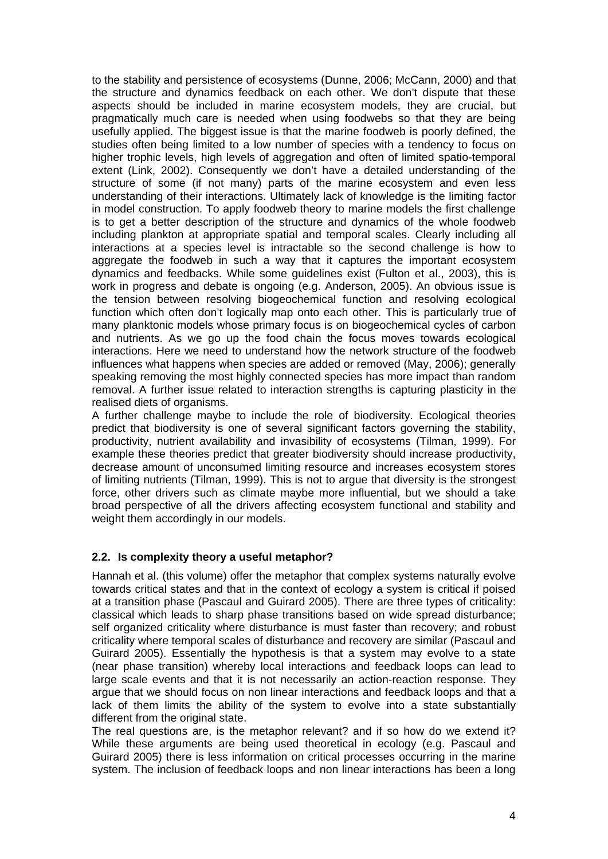to the stability and persistence of ecosystems (Dunne, 2006; McCann, 2000) and that the structure and dynamics feedback on each other. We don't dispute that these aspects should be included in marine ecosystem models, they are crucial, but pragmatically much care is needed when using foodwebs so that they are being usefully applied. The biggest issue is that the marine foodweb is poorly defined, the studies often being limited to a low number of species with a tendency to focus on higher trophic levels, high levels of aggregation and often of limited spatio-temporal extent (Link, 2002). Consequently we don't have a detailed understanding of the structure of some (if not many) parts of the marine ecosystem and even less understanding of their interactions. Ultimately lack of knowledge is the limiting factor in model construction. To apply foodweb theory to marine models the first challenge is to get a better description of the structure and dynamics of the whole foodweb including plankton at appropriate spatial and temporal scales. Clearly including all interactions at a species level is intractable so the second challenge is how to aggregate the foodweb in such a way that it captures the important ecosystem dynamics and feedbacks. While some guidelines exist (Fulton et al., 2003), this is work in progress and debate is ongoing (e.g. Anderson, 2005). An obvious issue is the tension between resolving biogeochemical function and resolving ecological function which often don't logically map onto each other. This is particularly true of many planktonic models whose primary focus is on biogeochemical cycles of carbon and nutrients. As we go up the food chain the focus moves towards ecological interactions. Here we need to understand how the network structure of the foodweb influences what happens when species are added or removed (May, 2006); generally speaking removing the most highly connected species has more impact than random removal. A further issue related to interaction strengths is capturing plasticity in the realised diets of organisms.

A further challenge maybe to include the role of biodiversity. Ecological theories predict that biodiversity is one of several significant factors governing the stability, productivity, nutrient availability and invasibility of ecosystems (Tilman, 1999). For example these theories predict that greater biodiversity should increase productivity, decrease amount of unconsumed limiting resource and increases ecosystem stores of limiting nutrients (Tilman, 1999). This is not to argue that diversity is the strongest force, other drivers such as climate maybe more influential, but we should a take broad perspective of all the drivers affecting ecosystem functional and stability and weight them accordingly in our models.

### **2.2. Is complexity theory a useful metaphor?**

Hannah et al. (this volume) offer the metaphor that complex systems naturally evolve towards critical states and that in the context of ecology a system is critical if poised at a transition phase (Pascaul and Guirard 2005). There are three types of criticality: classical which leads to sharp phase transitions based on wide spread disturbance; self organized criticality where disturbance is must faster than recovery; and robust criticality where temporal scales of disturbance and recovery are similar (Pascaul and Guirard 2005). Essentially the hypothesis is that a system may evolve to a state (near phase transition) whereby local interactions and feedback loops can lead to large scale events and that it is not necessarily an action-reaction response. They argue that we should focus on non linear interactions and feedback loops and that a lack of them limits the ability of the system to evolve into a state substantially different from the original state.

The real questions are, is the metaphor relevant? and if so how do we extend it? While these arguments are being used theoretical in ecology (e.g. Pascaul and Guirard 2005) there is less information on critical processes occurring in the marine system. The inclusion of feedback loops and non linear interactions has been a long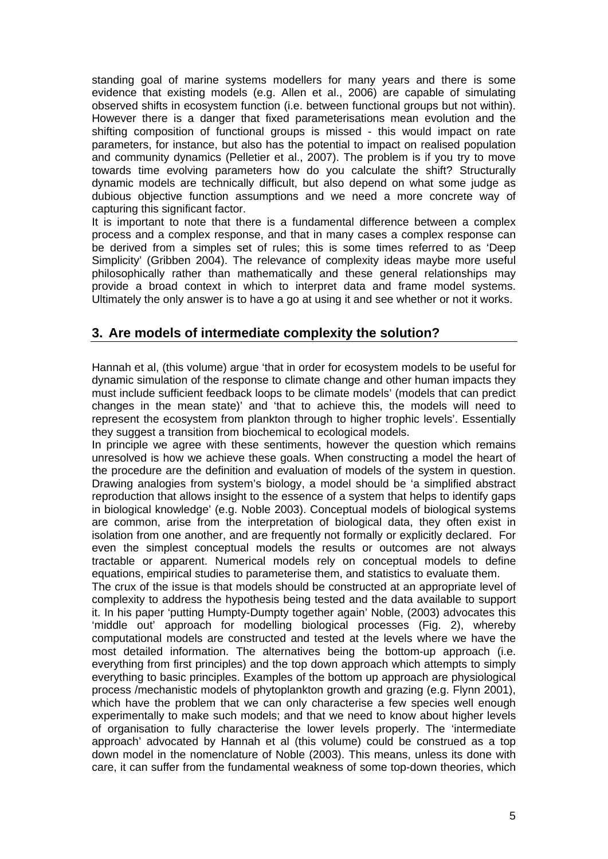standing goal of marine systems modellers for many years and there is some evidence that existing models (e.g. Allen et al., 2006) are capable of simulating observed shifts in ecosystem function (i.e. between functional groups but not within). However there is a danger that fixed parameterisations mean evolution and the shifting composition of functional groups is missed - this would impact on rate parameters, for instance, but also has the potential to impact on realised population and community dynamics (Pelletier et al., 2007). The problem is if you try to move towards time evolving parameters how do you calculate the shift? Structurally dynamic models are technically difficult, but also depend on what some judge as dubious objective function assumptions and we need a more concrete way of capturing this significant factor.

It is important to note that there is a fundamental difference between a complex process and a complex response, and that in many cases a complex response can be derived from a simples set of rules; this is some times referred to as 'Deep Simplicity' (Gribben 2004). The relevance of complexity ideas maybe more useful philosophically rather than mathematically and these general relationships may provide a broad context in which to interpret data and frame model systems. Ultimately the only answer is to have a go at using it and see whether or not it works.

# **3. Are models of intermediate complexity the solution?**

Hannah et al, (this volume) argue 'that in order for ecosystem models to be useful for dynamic simulation of the response to climate change and other human impacts they must include sufficient feedback loops to be climate models' (models that can predict changes in the mean state)' and 'that to achieve this, the models will need to represent the ecosystem from plankton through to higher trophic levels'. Essentially they suggest a transition from biochemical to ecological models.

In principle we agree with these sentiments, however the question which remains unresolved is how we achieve these goals. When constructing a model the heart of the procedure are the definition and evaluation of models of the system in question. Drawing analogies from system's biology, a model should be 'a simplified abstract reproduction that allows insight to the essence of a system that helps to identify gaps in biological knowledge' (e.g. Noble 2003). Conceptual models of biological systems are common, arise from the interpretation of biological data, they often exist in isolation from one another, and are frequently not formally or explicitly declared. For even the simplest conceptual models the results or outcomes are not always tractable or apparent. Numerical models rely on conceptual models to define equations, empirical studies to parameterise them, and statistics to evaluate them.

The crux of the issue is that models should be constructed at an appropriate level of complexity to address the hypothesis being tested and the data available to support it. In his paper 'putting Humpty-Dumpty together again' Noble, (2003) advocates this 'middle out' approach for modelling biological processes (Fig. 2), whereby computational models are constructed and tested at the levels where we have the most detailed information. The alternatives being the bottom-up approach (i.e. everything from first principles) and the top down approach which attempts to simply everything to basic principles. Examples of the bottom up approach are physiological process /mechanistic models of phytoplankton growth and grazing (e.g. Flynn 2001), which have the problem that we can only characterise a few species well enough experimentally to make such models; and that we need to know about higher levels of organisation to fully characterise the lower levels properly. The 'intermediate approach' advocated by Hannah et al (this volume) could be construed as a top down model in the nomenclature of Noble (2003). This means, unless its done with care, it can suffer from the fundamental weakness of some top-down theories, which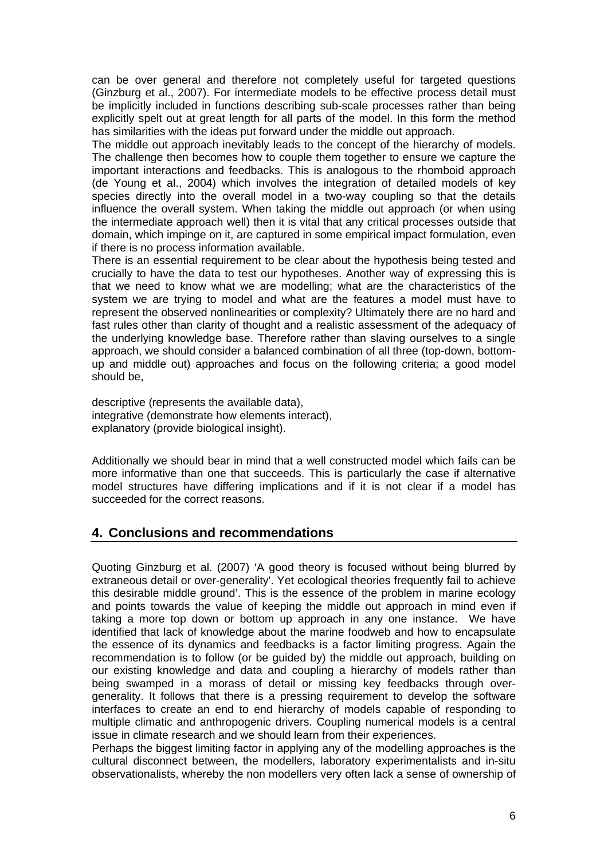can be over general and therefore not completely useful for targeted questions (Ginzburg et al., 2007). For intermediate models to be effective process detail must be implicitly included in functions describing sub-scale processes rather than being explicitly spelt out at great length for all parts of the model. In this form the method has similarities with the ideas put forward under the middle out approach.

The middle out approach inevitably leads to the concept of the hierarchy of models. The challenge then becomes how to couple them together to ensure we capture the important interactions and feedbacks. This is analogous to the rhomboid approach (de Young et al., 2004) which involves the integration of detailed models of key species directly into the overall model in a two-way coupling so that the details influence the overall system. When taking the middle out approach (or when using the intermediate approach well) then it is vital that any critical processes outside that domain, which impinge on it, are captured in some empirical impact formulation, even if there is no process information available.

There is an essential requirement to be clear about the hypothesis being tested and crucially to have the data to test our hypotheses. Another way of expressing this is that we need to know what we are modelling; what are the characteristics of the system we are trying to model and what are the features a model must have to represent the observed nonlinearities or complexity? Ultimately there are no hard and fast rules other than clarity of thought and a realistic assessment of the adequacy of the underlying knowledge base. Therefore rather than slaving ourselves to a single approach, we should consider a balanced combination of all three (top-down, bottomup and middle out) approaches and focus on the following criteria; a good model should be,

descriptive (represents the available data), integrative (demonstrate how elements interact), explanatory (provide biological insight).

Additionally we should bear in mind that a well constructed model which fails can be more informative than one that succeeds. This is particularly the case if alternative model structures have differing implications and if it is not clear if a model has succeeded for the correct reasons.

# **4. Conclusions and recommendations**

Quoting Ginzburg et al. (2007) 'A good theory is focused without being blurred by extraneous detail or over-generality'. Yet ecological theories frequently fail to achieve this desirable middle ground'. This is the essence of the problem in marine ecology and points towards the value of keeping the middle out approach in mind even if taking a more top down or bottom up approach in any one instance. We have identified that lack of knowledge about the marine foodweb and how to encapsulate the essence of its dynamics and feedbacks is a factor limiting progress. Again the recommendation is to follow (or be guided by) the middle out approach, building on our existing knowledge and data and coupling a hierarchy of models rather than being swamped in a morass of detail or missing key feedbacks through overgenerality. It follows that there is a pressing requirement to develop the software interfaces to create an end to end hierarchy of models capable of responding to multiple climatic and anthropogenic drivers. Coupling numerical models is a central issue in climate research and we should learn from their experiences.

Perhaps the biggest limiting factor in applying any of the modelling approaches is the cultural disconnect between, the modellers, laboratory experimentalists and in-situ observationalists, whereby the non modellers very often lack a sense of ownership of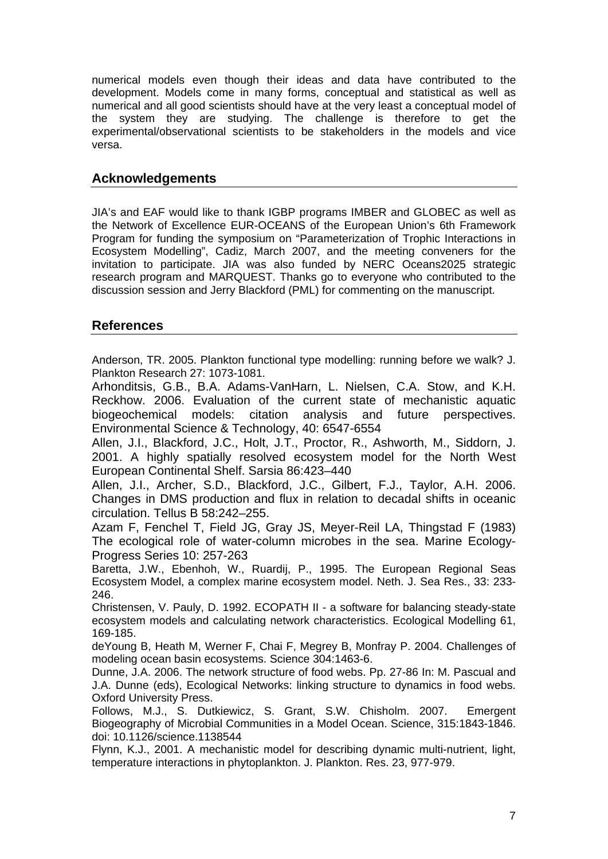numerical models even though their ideas and data have contributed to the development. Models come in many forms, conceptual and statistical as well as numerical and all good scientists should have at the very least a conceptual model of the system they are studying. The challenge is therefore to get the experimental/observational scientists to be stakeholders in the models and vice versa.

# **Acknowledgements**

JIA's and EAF would like to thank IGBP programs IMBER and GLOBEC as well as the Network of Excellence EUR-OCEANS of the European Union's 6th Framework Program for funding the symposium on "Parameterization of Trophic Interactions in Ecosystem Modelling", Cadiz, March 2007, and the meeting conveners for the invitation to participate. JIA was also funded by NERC Oceans2025 strategic research program and MARQUEST. Thanks go to everyone who contributed to the discussion session and Jerry Blackford (PML) for commenting on the manuscript.

# **References**

Anderson, TR. 2005. Plankton functional type modelling: running before we walk? J. Plankton Research 27: 1073-1081.

Arhonditsis, G.B., B.A. Adams-VanHarn, L. Nielsen, C.A. Stow, and K.H. Reckhow. 2006. Evaluation of the current state of mechanistic aquatic biogeochemical models: citation analysis and future perspectives. Environmental Science & Technology, 40: 6547-6554

Allen, J.I., Blackford, J.C., Holt, J.T., Proctor, R., Ashworth, M., Siddorn, J. 2001. A highly spatially resolved ecosystem model for the North West European Continental Shelf. Sarsia 86:423–440

Allen, J.I., Archer, S.D., Blackford, J.C., Gilbert, F.J., Taylor, A.H. 2006. Changes in DMS production and flux in relation to decadal shifts in oceanic circulation. Tellus B 58:242–255.

Azam F, Fenchel T, Field JG, Gray JS, Meyer-Reil LA, Thingstad F (1983) The ecological role of water-column microbes in the sea. [Marine Ecology-](http://www.int-res.com/abstracts/meps/v10/)[Progress Series 10: 257-263](http://www.int-res.com/abstracts/meps/v10/) 

Baretta, J.W., Ebenhoh, W., Ruardij, P., 1995. The European Regional Seas Ecosystem Model, a complex marine ecosystem model. Neth. J. Sea Res., 33: 233- 246.

Christensen, V. Pauly, D. 1992. ECOPATH II - a software for balancing steady-state ecosystem models and calculating network characteristics. Ecological Modelling 61, 169-185.

deYoung B, Heath M, Werner F, Chai F, Megrey B, Monfray P. 2004. Challenges of modeling ocean basin ecosystems. Science 304:1463-6.

Dunne, J.A. 2006. The network structure of food webs. Pp. 27-86 In: M. Pascual and J.A. Dunne (eds), Ecological Networks: linking structure to dynamics in food webs. Oxford University Press.

Follows, M.J., S. Dutkiewicz, S. Grant, S.W. Chisholm. 2007. Emergent Biogeography of Microbial Communities in a Model Ocean. Science, 315:1843-1846. doi: 10.1126/science.1138544

Flynn, K.J., 2001. A mechanistic model for describing dynamic multi-nutrient, light, temperature interactions in phytoplankton. J. Plankton. Res. 23, 977-979.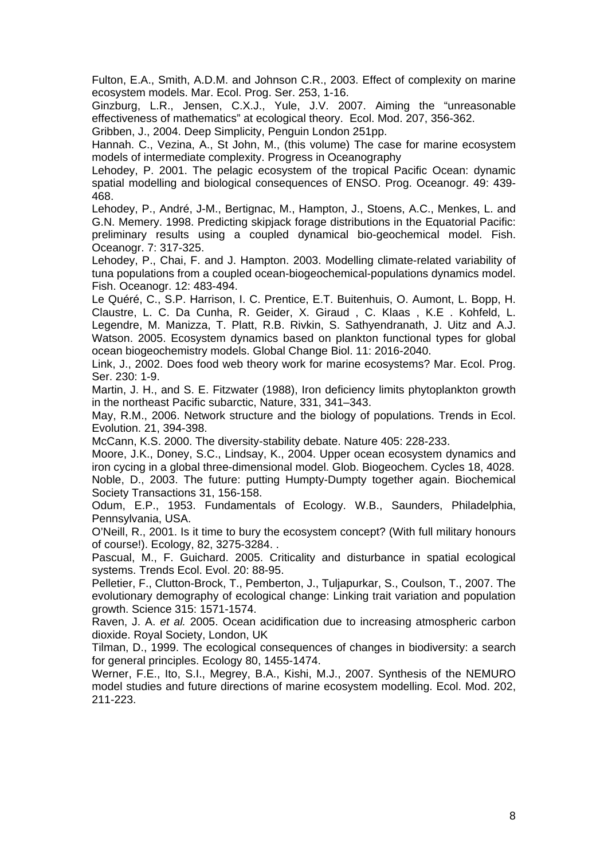Fulton, E.A., Smith, A.D.M. and Johnson C.R., 2003. Effect of complexity on marine ecosystem models. Mar. Ecol. Prog. Ser. 253, 1-16.

Ginzburg, L.R., Jensen, C.X.J., Yule, J.V. 2007. Aiming the "unreasonable effectiveness of mathematics" at ecological theory. Ecol. Mod. 207, 356-362.

Gribben, J., 2004. Deep Simplicity, Penguin London 251pp.

Hannah. C., Vezina, A., St John, M., (this volume) The case for marine ecosystem models of intermediate complexity. Progress in Oceanography

Lehodey, P. 2001. The pelagic ecosystem of the tropical Pacific Ocean: dynamic spatial modelling and biological consequences of ENSO. Prog. Oceanogr. 49: 439- 468.

Lehodey, P., André, J-M., Bertignac, M., Hampton, J., Stoens, A.C., Menkes, L. and G.N. Memery. 1998. Predicting skipjack forage distributions in the Equatorial Pacific: preliminary results using a coupled dynamical bio-geochemical model. Fish. Oceanogr. 7: 317-325.

Lehodey, P., Chai, F. and J. Hampton. 2003. Modelling climate-related variability of tuna populations from a coupled ocean-biogeochemical-populations dynamics model. Fish. Oceanogr. 12: 483-494.

Le Quéré, C., S.P. Harrison, I. C. Prentice, E.T. Buitenhuis, O. Aumont, L. Bopp, H. Claustre, L. C. Da Cunha, R. Geider, X. Giraud , C. Klaas , K.E . Kohfeld, L. Legendre, M. Manizza, T. Platt, R.B. Rivkin, S. Sathyendranath, J. Uitz and A.J. Watson. 2005. Ecosystem dynamics based on plankton functional types for global ocean biogeochemistry models. Global Change Biol. 11: 2016-2040.

Link, J., 2002. Does food web theory work for marine ecosystems? Mar. Ecol. Prog. Ser. 230: 1-9.

Martin, J. H., and S. E. Fitzwater (1988), Iron deficiency limits phytoplankton growth in the northeast Pacific subarctic, Nature, 331, 341–343.

May, R.M., 2006. Network structure and the biology of populations. Trends in Ecol. Evolution. 21, 394-398.

McCann, K.S. 2000. The diversity-stability debate. Nature 405: 228-233.

Moore, J.K., Doney, S.C., Lindsay, K., 2004. Upper ocean ecosystem dynamics and iron cycing in a global three-dimensional model. Glob. Biogeochem. Cycles 18, 4028. Noble, D., 2003. The future: putting Humpty-Dumpty together again. Biochemical Society Transactions 31, 156-158.

Odum, E.P., 1953. Fundamentals of Ecology. W.B., Saunders, Philadelphia, Pennsylvania, USA.

O'Neill, R., 2001. Is it time to bury the ecosystem concept? (With full military honours of course!). Ecology, 82, 3275-3284. .

Pascual, M., F. Guichard. 2005. Criticality and disturbance in spatial ecological systems. Trends Ecol. Evol. 20: 88-95.

Pelletier, F., Clutton-Brock, T., Pemberton, J., Tuljapurkar, S., Coulson, T., 2007. The evolutionary demography of ecological change: Linking trait variation and population growth. Science 315: 1571-1574.

Raven, J. A. *et al.* 2005. [Ocean acidification due to increasing atmospheric carbon](http://www.royalsoc.ac.uk/displaypagedoc.asp?id=13314)  [dioxide.](http://www.royalsoc.ac.uk/displaypagedoc.asp?id=13314) Royal Society, London, UK

Tilman, D., 1999. The ecological consequences of changes in biodiversity: a search for general principles. Ecology 80, 1455-1474.

Werner, F.E., Ito, S.I., Megrey, B.A., Kishi, M.J., 2007. [Synthesis of the NEMURO](http://apps.isiknowledge.com/WoS/CIW.cgi?SID=R145kl2gocPp993hlmg&Func=Abstract&doc=12/4)  [model studies and future directions of marine ecosystem modelling.](http://apps.isiknowledge.com/WoS/CIW.cgi?SID=R145kl2gocPp993hlmg&Func=Abstract&doc=12/4) Ecol. Mod. 202, 211-223.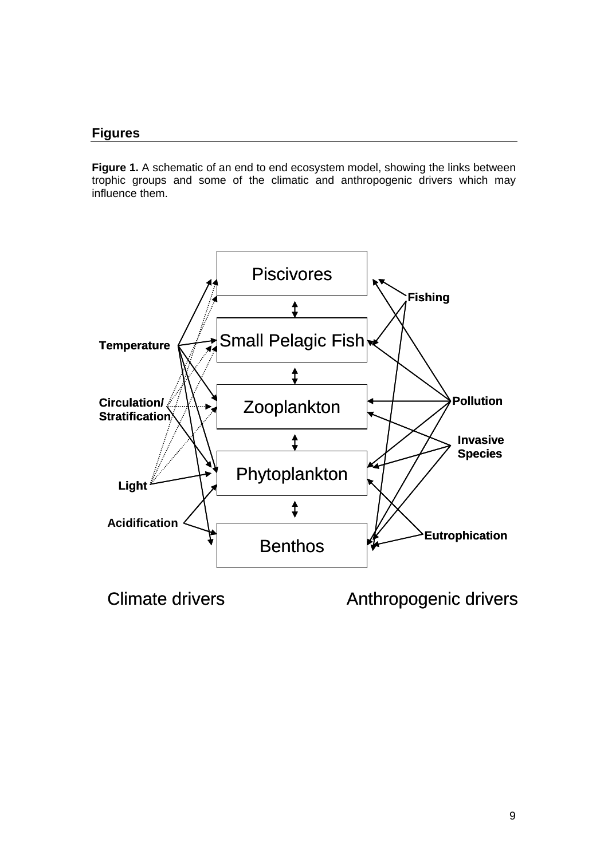### **Figures**

**Figure 1.** A schematic of an end to end ecosystem model, showing the links between trophic groups and some of the climatic and anthropogenic drivers which may influence them.



Climate drivers **Anthropogenic drivers**